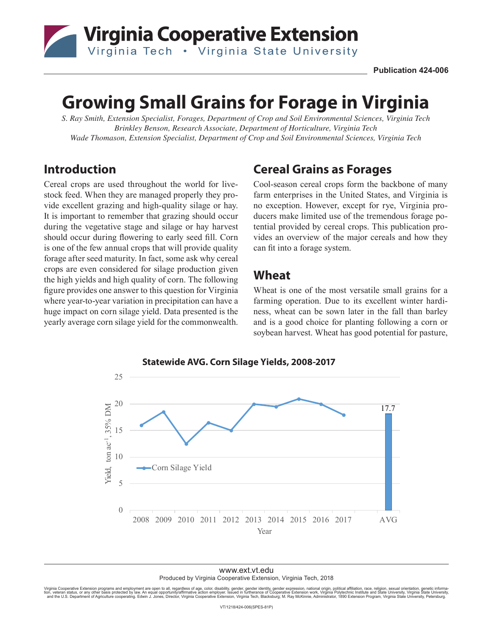

# **Growing Small Grains for Forage in Virginia**

*S. Ray Smith, Extension Specialist, Forages, Department of Crop and Soil Environmental Sciences, Virginia Tech Brinkley Benson, Research Associate, Department of Horticulture, Virginia Tech Wade Thomason, Extension Specialist, Department of Crop and Soil Environmental Sciences, Virginia Tech*

#### **Introduction**

Cereal crops are used throughout the world for livestock feed. When they are managed properly they provide excellent grazing and high-quality silage or hay. It is important to remember that grazing should occur during the vegetative stage and silage or hay harvest should occur during flowering to early seed fill. Corn is one of the few annual crops that will provide quality forage after seed maturity. In fact, some ask why cereal crops are even considered for silage production given the high yields and high quality of corn. The following figure provides one answer to this question for Virginia where year-to-year variation in precipitation can have a huge impact on corn silage yield. Data presented is the yearly average corn silage yield for the commonwealth.

## **Cereal Grains as Forages**

Cool-season cereal crops form the backbone of many farm enterprises in the United States, and Virginia is no exception. However, except for rye, Virginia producers make limited use of the tremendous forage potential provided by cereal crops. This publication provides an overview of the major cereals and how they can fit into a forage system.

#### **Wheat**

Wheat is one of the most versatile small grains for a farming operation. Due to its excellent winter hardiness, wheat can be sown later in the fall than barley and is a good choice for planting following a corn or soybean harvest. Wheat has good potential for pasture,



www.ext.vt.edu Produced by Virginia Cooperative Extension, Virginia Tech, 2018

Virginia Cooperative Extension programs and employment are open to all, regardless of age, color, disability, gender, gender identity, gender expression, national origin, political affiliation, race, religion, sexual orien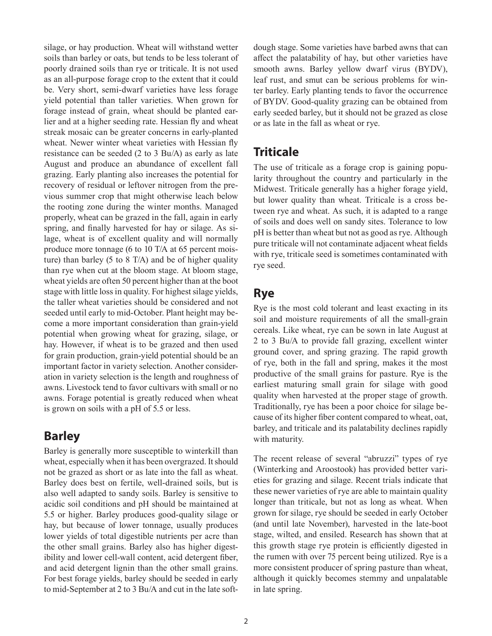silage, or hay production. Wheat will withstand wetter soils than barley or oats, but tends to be less tolerant of poorly drained soils than rye or triticale. It is not used as an all-purpose forage crop to the extent that it could be. Very short, semi-dwarf varieties have less forage yield potential than taller varieties. When grown for forage instead of grain, wheat should be planted earlier and at a higher seeding rate. Hessian fly and wheat streak mosaic can be greater concerns in early-planted wheat. Newer winter wheat varieties with Hessian fly resistance can be seeded (2 to 3 Bu/A) as early as late August and produce an abundance of excellent fall grazing. Early planting also increases the potential for recovery of residual or leftover nitrogen from the previous summer crop that might otherwise leach below the rooting zone during the winter months. Managed properly, wheat can be grazed in the fall, again in early spring, and finally harvested for hay or silage. As silage, wheat is of excellent quality and will normally produce more tonnage (6 to 10 T/A at 65 percent moisture) than barley (5 to 8 T/A) and be of higher quality than rye when cut at the bloom stage. At bloom stage, wheat yields are often 50 percent higher than at the boot stage with little loss in quality. For highest silage yields, the taller wheat varieties should be considered and not seeded until early to mid-October. Plant height may become a more important consideration than grain-yield potential when growing wheat for grazing, silage, or hay. However, if wheat is to be grazed and then used for grain production, grain-yield potential should be an important factor in variety selection. Another consideration in variety selection is the length and roughness of awns. Livestock tend to favor cultivars with small or no awns. Forage potential is greatly reduced when wheat is grown on soils with a pH of 5.5 or less.

#### **Barley**

Barley is generally more susceptible to winterkill than wheat, especially when it has been overgrazed. It should not be grazed as short or as late into the fall as wheat. Barley does best on fertile, well-drained soils, but is also well adapted to sandy soils. Barley is sensitive to acidic soil conditions and pH should be maintained at 5.5 or higher. Barley produces good-quality silage or hay, but because of lower tonnage, usually produces lower yields of total digestible nutrients per acre than the other small grains. Barley also has higher digestibility and lower cell-wall content, acid detergent fiber, and acid detergent lignin than the other small grains. For best forage yields, barley should be seeded in early to mid-September at 2 to 3 Bu/A and cut in the late softdough stage. Some varieties have barbed awns that can affect the palatability of hay, but other varieties have smooth awns. Barley yellow dwarf virus (BYDV), leaf rust, and smut can be serious problems for winter barley. Early planting tends to favor the occurrence of BYDV. Good-quality grazing can be obtained from early seeded barley, but it should not be grazed as close or as late in the fall as wheat or rye.

# **Triticale**

The use of triticale as a forage crop is gaining popularity throughout the country and particularly in the Midwest. Triticale generally has a higher forage yield, but lower quality than wheat. Triticale is a cross between rye and wheat. As such, it is adapted to a range of soils and does well on sandy sites. Tolerance to low pH is better than wheat but not as good as rye. Although pure triticale will not contaminate adjacent wheat fields with rye, triticale seed is sometimes contaminated with rye seed.

## **Rye**

Rye is the most cold tolerant and least exacting in its soil and moisture requirements of all the small-grain cereals. Like wheat, rye can be sown in late August at 2 to 3 Bu/A to provide fall grazing, excellent winter ground cover, and spring grazing. The rapid growth of rye, both in the fall and spring, makes it the most productive of the small grains for pasture. Rye is the earliest maturing small grain for silage with good quality when harvested at the proper stage of growth. Traditionally, rye has been a poor choice for silage because of its higher fiber content compared to wheat, oat, barley, and triticale and its palatability declines rapidly with maturity.

The recent release of several "abruzzi" types of rye (Winterking and Aroostook) has provided better varieties for grazing and silage. Recent trials indicate that these newer varieties of rye are able to maintain quality longer than triticale, but not as long as wheat. When grown for silage, rye should be seeded in early October (and until late November), harvested in the late-boot stage, wilted, and ensiled. Research has shown that at this growth stage rye protein is efficiently digested in the rumen with over 75 percent being utilized. Rye is a more consistent producer of spring pasture than wheat, although it quickly becomes stemmy and unpalatable in late spring.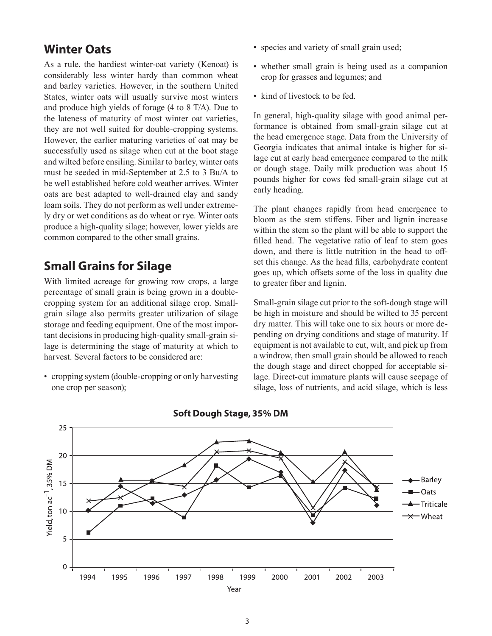#### **Winter Oats**

As a rule, the hardiest winter-oat variety (Kenoat) is considerably less winter hardy than common wheat and barley varieties. However, in the southern United States, winter oats will usually survive most winters and produce high yields of forage (4 to 8 T/A). Due to the lateness of maturity of most winter oat varieties, they are not well suited for double-cropping systems. However, the earlier maturing varieties of oat may be successfully used as silage when cut at the boot stage and wilted before ensiling. Similar to barley, winter oats must be seeded in mid-September at 2.5 to 3 Bu/A to be well established before cold weather arrives. Winter oats are best adapted to well-drained clay and sandy loam soils. They do not perform as well under extremely dry or wet conditions as do wheat or rye. Winter oats produce a high-quality silage; however, lower yields are common compared to the other small grains.

# **Small Grains for Silage**

With limited acreage for growing row crops, a large percentage of small grain is being grown in a doublecropping system for an additional silage crop. Smallgrain silage also permits greater utilization of silage storage and feeding equipment. One of the most important decisions in producing high-quality small-grain silage is determining the stage of maturity at which to harvest. Several factors to be considered are:

• cropping system (double-cropping or only harvesting one crop per season);

- species and variety of small grain used;
- whether small grain is being used as a companion crop for grasses and legumes; and
- kind of livestock to be fed.

In general, high-quality silage with good animal performance is obtained from small-grain silage cut at the head emergence stage. Data from the University of Georgia indicates that animal intake is higher for silage cut at early head emergence compared to the milk or dough stage. Daily milk production was about 15 pounds higher for cows fed small-grain silage cut at early heading.

The plant changes rapidly from head emergence to bloom as the stem stiffens. Fiber and lignin increase within the stem so the plant will be able to support the filled head. The vegetative ratio of leaf to stem goes down, and there is little nutrition in the head to offset this change. As the head fills, carbohydrate content goes up, which offsets some of the loss in quality due to greater fiber and lignin.

Small-grain silage cut prior to the soft-dough stage will be high in moisture and should be wilted to 35 percent dry matter. This will take one to six hours or more depending on drying conditions and stage of maturity. If equipment is not available to cut, wilt, and pick up from a windrow, then small grain should be allowed to reach the dough stage and direct chopped for acceptable silage. Direct-cut immature plants will cause seepage of silage, loss of nutrients, and acid silage, which is less



Soft Dough Stage, 35% DM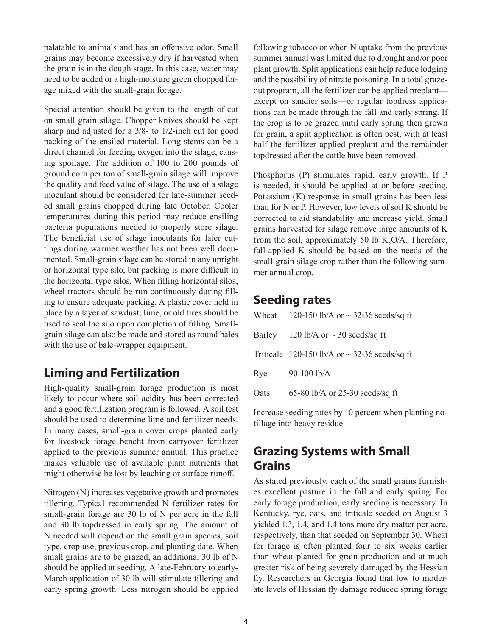palatable to animals and has an offensive odor. Small grains may become excessively dry if harvested when the grain is in the dough stage. In this case, water may need to be added or a high-moisture green chopped forage mixed with the small-grain forage.

Special attention should be given to the length of cut on small grain silage. Chopper knives should be kept sharp and adjusted for a 3/8- to 1/2-inch cut for good packing of the ensiled material. Long stems can be a direct channel for feeding oxygen into the silage, causing spoilage. The addition of 100 to 200 pounds of ground corn per ton of small-grain silage will improve the quality and feed value of silage. The use of a silage inoculant should be considered for late-summer seeded small grains chopped during late October. Cooler temperatures during this period may reduce ensiling bacteria populations needed to properly store silage. The beneficial use of silage inoculants for later cuttings during warmer weather has not been well documented. Small-grain silage can be stored in any upright or horizontal type silo, but packing is more difficult in the horizontal type silos. When filling horizontal silos, wheel tractors should be run continuously during filling to ensure adequate packing. A plastic cover held in place by a layer of sawdust, lime, or old tires should be used to seal the silo upon completion of filling. Smallgrain silage can also be made and stored as round bales with the use of bale-wrapper equipment.

# **Liming and Fertilization**

High-quality small-grain forage production is most likely to occur where soil acidity has been corrected and a good fertilization program is followed. A soil test should be used to determine lime and fertilizer needs. In many cases, small-grain cover crops planted early for livestock forage benefit from carryover fertilizer applied to the previous summer annual. This practice makes valuable use of available plant nutrients that might otherwise be lost by leaching or surface runoff.

Nitrogen (N) increases vegetative growth and promotes tillering. Typical recommended N fertilizer rates for small-grain forage are 30 lb of N per acre in the fall and 30 lb topdressed in early spring. The amount of N needed will depend on the small grain species, soil type, crop use, previous crop, and planting date. When small grains are to be grazed, an additional 30 lb of N should be applied at seeding. A late-February to early-March application of 30 lb will stimulate tillering and early spring growth. Less nitrogen should be applied following tobacco or when N uptake from the previous summer annual was limited due to drought and/or poor plant growth. Split applications can help reduce lodging and the possibility of nitrate poisoning. In a total grazeout program, all the fertilizer can be applied preplant except on sandier soils—or regular topdress applications can be made through the fall and early spring. If the crop is to be grazed until early spring then grown for grain, a split application is often best, with at least half the fertilizer applied preplant and the remainder topdressed after the cattle have been removed.

Phosphorus (P) stimulates rapid, early growth. If P is needed, it should be applied at or before seeding. Potassium (K) response in small grains has been less than for N or P. However, low levels of soil K should be corrected to aid standability and increase yield. Small grains harvested for silage remove large amounts of K from the soil, approximately 50 lb  $K_2O/A$ . Therefore, fall-applied K should be based on the needs of the small-grain silage crop rather than the following summer annual crop.

#### **Seeding rates**

|      | Wheat 120-150 lb/A or $\sim$ 32-36 seeds/sq ft     |
|------|----------------------------------------------------|
|      | Barley 120 lb/A or $\sim$ 30 seeds/sq ft           |
|      | Triticale 120-150 lb/A or $\sim$ 32-36 seeds/sq ft |
| Rye  | $90-100$ lb/A                                      |
| Oats | 65-80 lb/A or 25-30 seeds/sq ft                    |

Increase seeding rates by 10 percent when planting notillage into heavy residue.

# **Grazing Systems with Small Grains**

As stated previously, each of the small grains furnishes excellent pasture in the fall and early spring. For early forage production, early seeding is necessary. In Kentucky, rye, oats, and triticale seeded on August 3 yielded 1.3, 1.4, and 1.4 tons more dry matter per acre, respectively, than that seeded on September 30. Wheat for forage is often planted four to six weeks earlier than wheat planted for grain production and at much greater risk of being severely damaged by the Hessian fly. Researchers in Georgia found that low to moderate levels of Hessian fly damage reduced spring forage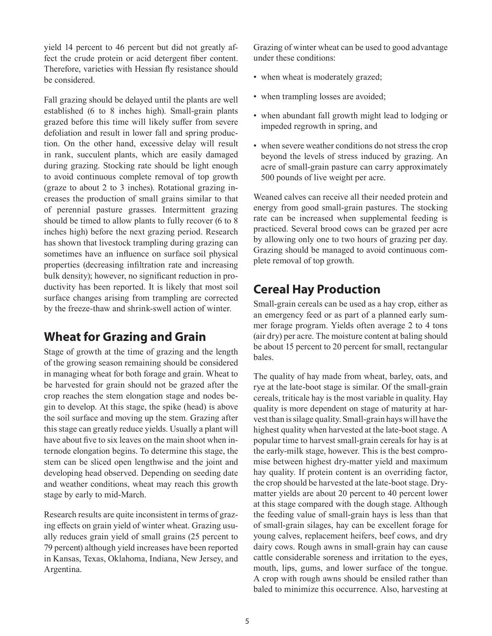yield 14 percent to 46 percent but did not greatly affect the crude protein or acid detergent fiber content. Therefore, varieties with Hessian fly resistance should be considered.

Fall grazing should be delayed until the plants are well established (6 to 8 inches high). Small-grain plants grazed before this time will likely suffer from severe defoliation and result in lower fall and spring production. On the other hand, excessive delay will result in rank, succulent plants, which are easily damaged during grazing. Stocking rate should be light enough to avoid continuous complete removal of top growth (graze to about 2 to 3 inches). Rotational grazing increases the production of small grains similar to that of perennial pasture grasses. Intermittent grazing should be timed to allow plants to fully recover (6 to 8 inches high) before the next grazing period. Research has shown that livestock trampling during grazing can sometimes have an influence on surface soil physical properties (decreasing infiltration rate and increasing bulk density); however, no significant reduction in productivity has been reported. It is likely that most soil surface changes arising from trampling are corrected by the freeze-thaw and shrink-swell action of winter.

#### **Wheat for Grazing and Grain**

Stage of growth at the time of grazing and the length of the growing season remaining should be considered in managing wheat for both forage and grain. Wheat to be harvested for grain should not be grazed after the crop reaches the stem elongation stage and nodes begin to develop. At this stage, the spike (head) is above the soil surface and moving up the stem. Grazing after this stage can greatly reduce yields. Usually a plant will have about five to six leaves on the main shoot when internode elongation begins. To determine this stage, the stem can be sliced open lengthwise and the joint and developing head observed. Depending on seeding date and weather conditions, wheat may reach this growth stage by early to mid-March.

Research results are quite inconsistent in terms of grazing effects on grain yield of winter wheat. Grazing usually reduces grain yield of small grains (25 percent to 79 percent) although yield increases have been reported in Kansas, Texas, Oklahoma, Indiana, New Jersey, and Argentina.

Grazing of winter wheat can be used to good advantage under these conditions:

- when wheat is moderately grazed;
- when trampling losses are avoided;
- when abundant fall growth might lead to lodging or impeded regrowth in spring, and
- when severe weather conditions do not stress the crop beyond the levels of stress induced by grazing. An acre of small-grain pasture can carry approximately 500 pounds of live weight per acre.

Weaned calves can receive all their needed protein and energy from good small-grain pastures. The stocking rate can be increased when supplemental feeding is practiced. Several brood cows can be grazed per acre by allowing only one to two hours of grazing per day. Grazing should be managed to avoid continuous complete removal of top growth.

#### **Cereal Hay Production**

Small-grain cereals can be used as a hay crop, either as an emergency feed or as part of a planned early summer forage program. Yields often average 2 to 4 tons (air dry) per acre. The moisture content at baling should be about 15 percent to 20 percent for small, rectangular bales.

The quality of hay made from wheat, barley, oats, and rye at the late-boot stage is similar. Of the small-grain cereals, triticale hay is the most variable in quality. Hay quality is more dependent on stage of maturity at harvest than is silage quality. Small-grain hays will have the highest quality when harvested at the late-boot stage. A popular time to harvest small-grain cereals for hay is at the early-milk stage, however. This is the best compromise between highest dry-matter yield and maximum hay quality. If protein content is an overriding factor, the crop should be harvested at the late-boot stage. Drymatter yields are about 20 percent to 40 percent lower at this stage compared with the dough stage. Although the feeding value of small-grain hays is less than that of small-grain silages, hay can be excellent forage for young calves, replacement heifers, beef cows, and dry dairy cows. Rough awns in small-grain hay can cause cattle considerable soreness and irritation to the eyes, mouth, lips, gums, and lower surface of the tongue. A crop with rough awns should be ensiled rather than baled to minimize this occurrence. Also, harvesting at